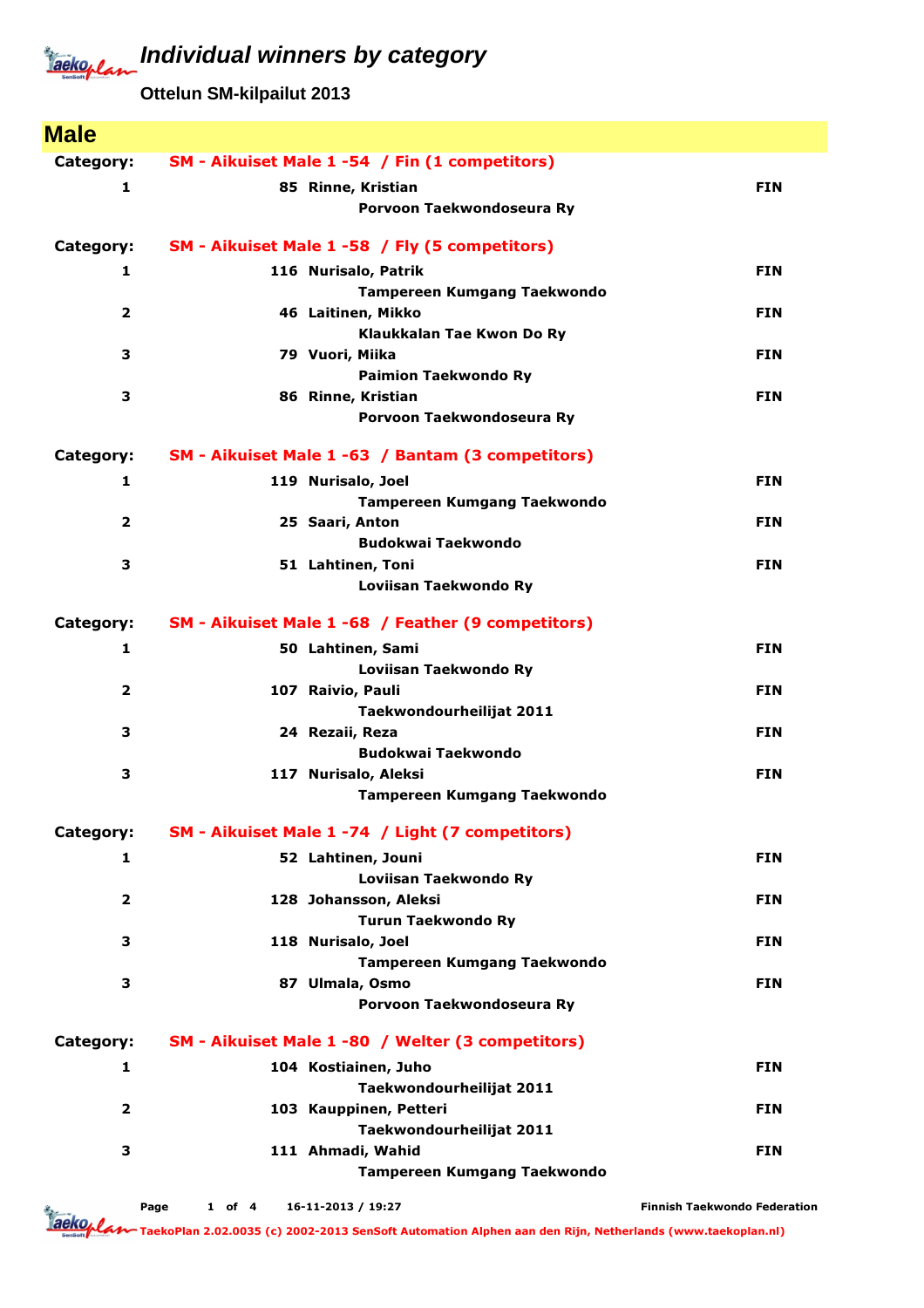## Jackoplan

**Individual winners by category**

**Ottelun SM-kilpailut 2013**

| <b>Male</b>             |                                                    |                                     |
|-------------------------|----------------------------------------------------|-------------------------------------|
| Category:               | SM - Aikuiset Male 1 -54 / Fin (1 competitors)     |                                     |
| 1                       | 85 Rinne, Kristian                                 | <b>FIN</b>                          |
|                         | Porvoon Taekwondoseura Ry                          |                                     |
| Category:               | SM - Aikuiset Male 1 -58 / Fly (5 competitors)     |                                     |
| 1                       | 116 Nurisalo, Patrik                               | <b>FIN</b>                          |
|                         | <b>Tampereen Kumgang Taekwondo</b>                 |                                     |
| 2                       | 46 Laitinen, Mikko                                 | <b>FIN</b>                          |
|                         | Klaukkalan Tae Kwon Do Ry                          |                                     |
| 3                       | 79 Vuori, Miika                                    | <b>FIN</b>                          |
| з                       | <b>Paimion Taekwondo Ry</b><br>86 Rinne, Kristian  | <b>FIN</b>                          |
|                         | Porvoon Taekwondoseura Ry                          |                                     |
| Category:               | SM - Aikuiset Male 1 -63 / Bantam (3 competitors)  |                                     |
| 1                       | 119 Nurisalo, Joel                                 | <b>FIN</b>                          |
|                         | Tampereen Kumgang Taekwondo                        |                                     |
| $\overline{\mathbf{2}}$ | 25 Saari, Anton                                    | <b>FIN</b>                          |
|                         | <b>Budokwai Taekwondo</b>                          |                                     |
| з                       | 51 Lahtinen, Toni                                  | <b>FIN</b>                          |
|                         | Loviisan Taekwondo Ry                              |                                     |
| Category:               | SM - Aikuiset Male 1 -68 / Feather (9 competitors) |                                     |
| 1                       | 50 Lahtinen, Sami                                  | <b>FIN</b>                          |
|                         | Loviisan Taekwondo Ry                              |                                     |
| $\overline{\mathbf{2}}$ | 107 Raivio, Pauli                                  | <b>FIN</b>                          |
|                         | Taekwondourheilijat 2011                           |                                     |
| з                       | 24 Rezaii, Reza<br><b>Budokwai Taekwondo</b>       | <b>FIN</b>                          |
| 3                       | 117 Nurisalo, Aleksi                               | <b>FIN</b>                          |
|                         | <b>Tampereen Kumgang Taekwondo</b>                 |                                     |
| Category:               | SM - Aikuiset Male 1 -74 / Light (7 competitors)   |                                     |
| 1                       | 52 Lahtinen, Jouni                                 | <b>FIN</b>                          |
|                         | Loviisan Taekwondo Ry                              |                                     |
| $\overline{\mathbf{2}}$ | 128 Johansson, Aleksi                              | <b>FIN</b>                          |
|                         | <b>Turun Taekwondo Ry</b>                          |                                     |
| З                       | 118 Nurisalo, Joel                                 | <b>FIN</b>                          |
|                         | <b>Tampereen Kumgang Taekwondo</b>                 |                                     |
| З                       | 87 Ulmala, Osmo                                    | <b>FIN</b>                          |
|                         | Porvoon Taekwondoseura Ry                          |                                     |
| Category:               | SM - Aikuiset Male 1 -80 / Welter (3 competitors)  |                                     |
| 1                       | 104 Kostiainen, Juho                               | <b>FIN</b>                          |
|                         | Taekwondourheilijat 2011                           |                                     |
| $\overline{\mathbf{2}}$ | 103 Kauppinen, Petteri                             | <b>FIN</b>                          |
| З                       | Taekwondourheilijat 2011<br>111 Ahmadi, Wahid      | <b>FIN</b>                          |
|                         | <b>Tampereen Kumgang Taekwondo</b>                 |                                     |
|                         |                                                    |                                     |
| dia .                   | 16-11-2013 / 19:27<br>Page<br>$1$ of $4$           | <b>Finnish Taekwondo Federation</b> |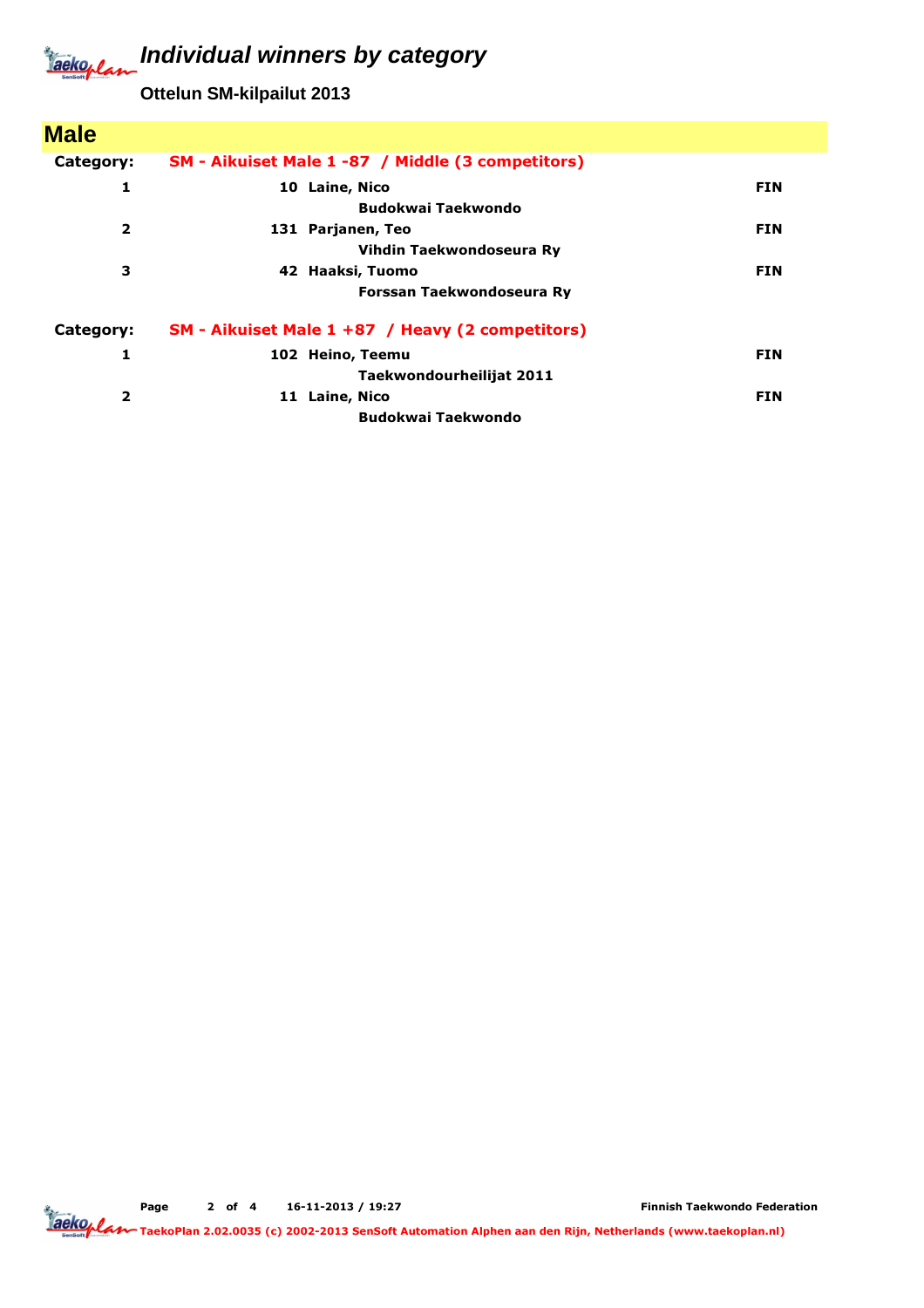## **Individual winners by category** Jackeplan

**Ottelun SM-kilpailut 2013**

| SM - Aikuiset Male 1 -87 / Middle (3 competitors) |            |
|---------------------------------------------------|------------|
| 10 Laine, Nico                                    | <b>FIN</b> |
| <b>Budokwai Taekwondo</b>                         |            |
| 131 Parjanen, Teo                                 | <b>FIN</b> |
| Vihdin Taekwondoseura Ry                          |            |
| 42 Haaksi, Tuomo                                  | <b>FIN</b> |
| Forssan Taekwondoseura Ry                         |            |
| SM - Aikuiset Male 1 +87 / Heavy (2 competitors)  |            |
| 102 Heino, Teemu                                  | <b>FIN</b> |
| Taekwondourheilijat 2011                          |            |
| 11 Laine, Nico                                    | <b>FIN</b> |
| <b>Budokwai Taekwondo</b>                         |            |
|                                                   |            |

Page 2 of 4 16-11-2013 / 19:27

Finnish Taekwondo Federation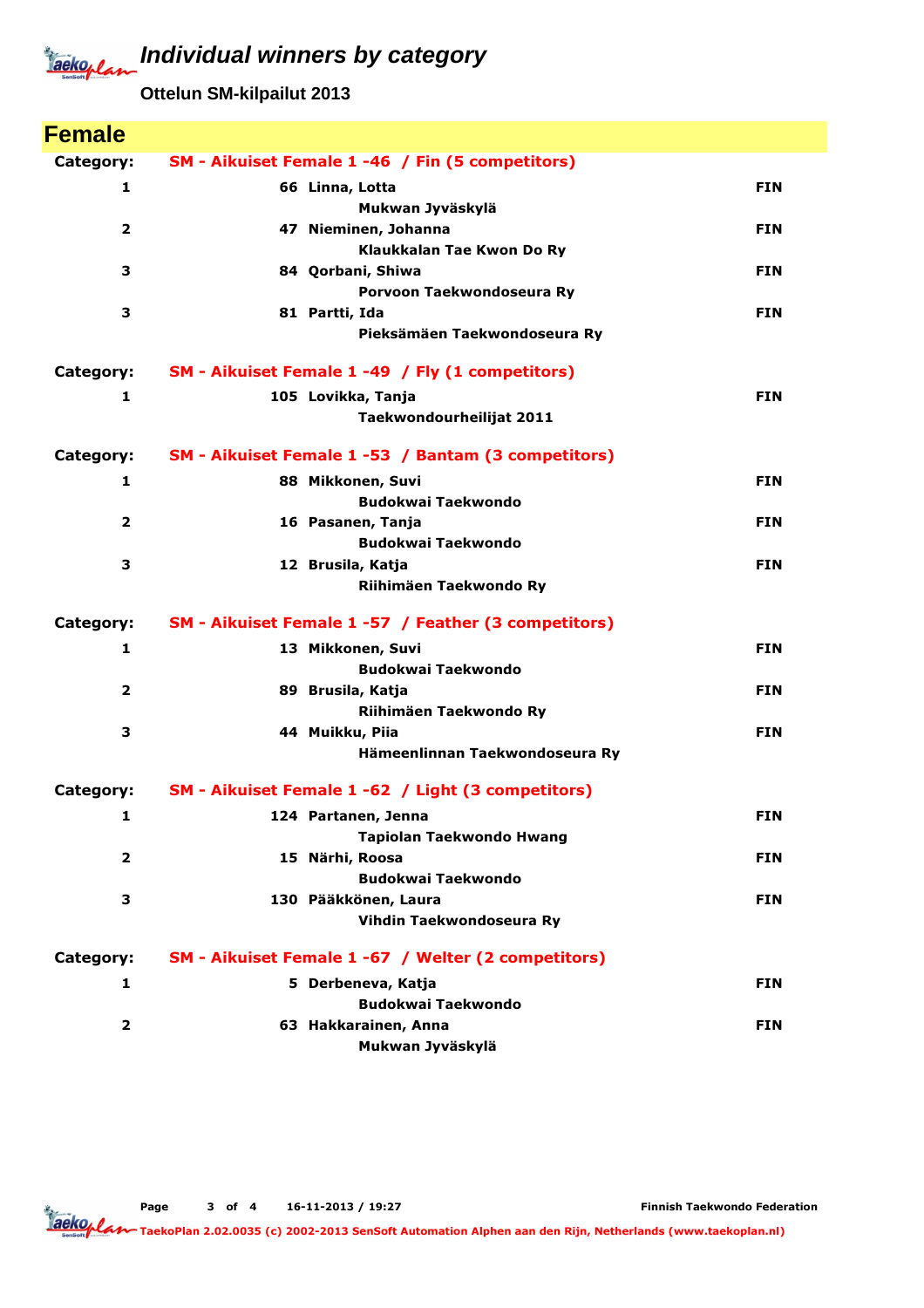## **Individual winners by category** Jackeplan

**Ottelun SM-kilpailut 2013**

| <b>Female</b>           |                                                      |            |
|-------------------------|------------------------------------------------------|------------|
| Category:               | SM - Aikuiset Female 1 -46 / Fin (5 competitors)     |            |
| 1                       | 66 Linna, Lotta                                      | <b>FIN</b> |
|                         | Mukwan Jyväskylä                                     |            |
| 2                       | 47 Nieminen, Johanna                                 | <b>FIN</b> |
|                         | Klaukkalan Tae Kwon Do Ry                            |            |
| 3                       | 84 Qorbani, Shiwa                                    | <b>FIN</b> |
|                         | Porvoon Taekwondoseura Ry                            |            |
| 3                       | 81 Partti, Ida                                       | <b>FIN</b> |
|                         | Pieksämäen Taekwondoseura Ry                         |            |
| Category:               | SM - Aikuiset Female 1 -49 / Fly (1 competitors)     |            |
| 1                       | 105 Lovikka, Tanja                                   | <b>FIN</b> |
|                         | Taekwondourheilijat 2011                             |            |
| Category:               | SM - Aikuiset Female 1 -53 / Bantam (3 competitors)  |            |
| 1                       | 88 Mikkonen, Suvi                                    | <b>FIN</b> |
|                         | <b>Budokwai Taekwondo</b>                            |            |
| 2                       | 16 Pasanen, Tanja                                    | <b>FIN</b> |
|                         | <b>Budokwai Taekwondo</b>                            |            |
| 3                       | 12 Brusila, Katja                                    | <b>FIN</b> |
|                         | Riihimäen Taekwondo Ry                               |            |
| Category:               | SM - Aikuiset Female 1 -57 / Feather (3 competitors) |            |
| 1                       | 13 Mikkonen, Suvi                                    | <b>FIN</b> |
|                         | <b>Budokwai Taekwondo</b>                            |            |
| $\overline{\mathbf{2}}$ | 89 Brusila, Katja                                    | <b>FIN</b> |
|                         | Riihimäen Taekwondo Ry                               |            |
| 3                       | 44 Muikku, Piia                                      | <b>FIN</b> |
|                         | Hämeenlinnan Taekwondoseura Ry                       |            |
| Category:               | SM - Aikuiset Female 1 -62 / Light (3 competitors)   |            |
| 1                       | 124 Partanen, Jenna                                  | <b>FIN</b> |
|                         | <b>Tapiolan Taekwondo Hwang</b>                      |            |
| $\overline{2}$          | 15 Närhi, Roosa                                      | <b>FIN</b> |
|                         | <b>Budokwai Taekwondo</b>                            |            |
| 3                       | 130 Pääkkönen, Laura                                 | <b>FIN</b> |
|                         | Vihdin Taekwondoseura Ry                             |            |
| Category:               | SM - Aikuiset Female 1 -67 / Welter (2 competitors)  |            |
| 1                       | 5 Derbeneva, Katja                                   | <b>FIN</b> |
|                         | <b>Budokwai Taekwondo</b>                            |            |
| $\overline{\mathbf{2}}$ | 63 Hakkarainen, Anna                                 | <b>FIN</b> |
|                         | Mukwan Jyväskylä                                     |            |

Finnish Taekwondo Federation